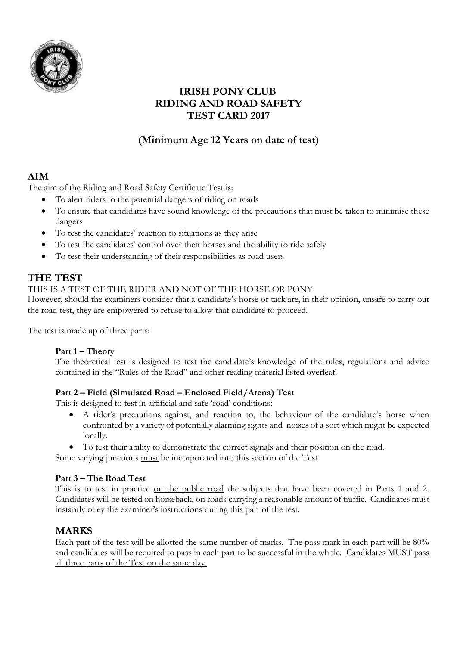

## **IRISH PONY CLUB RIDING AND ROAD SAFETY TEST CARD 2017**

# **(Minimum Age 12 Years on date of test)**

## **AIM**

The aim of the Riding and Road Safety Certificate Test is:

- To alert riders to the potential dangers of riding on roads
- To ensure that candidates have sound knowledge of the precautions that must be taken to minimise these dangers
- To test the candidates' reaction to situations as they arise
- To test the candidates' control over their horses and the ability to ride safely
- To test their understanding of their responsibilities as road users

# **THE TEST**

### THIS IS A TEST OF THE RIDER AND NOT OF THE HORSE OR PONY

However, should the examiners consider that a candidate's horse or tack are, in their opinion, unsafe to carry out the road test, they are empowered to refuse to allow that candidate to proceed.

The test is made up of three parts:

### **Part 1 – Theory**

The theoretical test is designed to test the candidate's knowledge of the rules, regulations and advice contained in the "Rules of the Road" and other reading material listed overleaf.

### **Part 2 – Field (Simulated Road – Enclosed Field/Arena) Test**

This is designed to test in artificial and safe 'road' conditions:

- A rider's precautions against, and reaction to, the behaviour of the candidate's horse when confronted by a variety of potentially alarming sights and noises of a sort which might be expected locally.
- To test their ability to demonstrate the correct signals and their position on the road.

Some varying junctions must be incorporated into this section of the Test.

### **Part 3 – The Road Test**

This is to test in practice on the public road the subjects that have been covered in Parts 1 and 2. Candidates will be tested on horseback, on roads carrying a reasonable amount of traffic. Candidates must instantly obey the examiner's instructions during this part of the test.

### **MARKS**

Each part of the test will be allotted the same number of marks. The pass mark in each part will be 80% and candidates will be required to pass in each part to be successful in the whole. Candidates MUST pass all three parts of the Test on the same day.